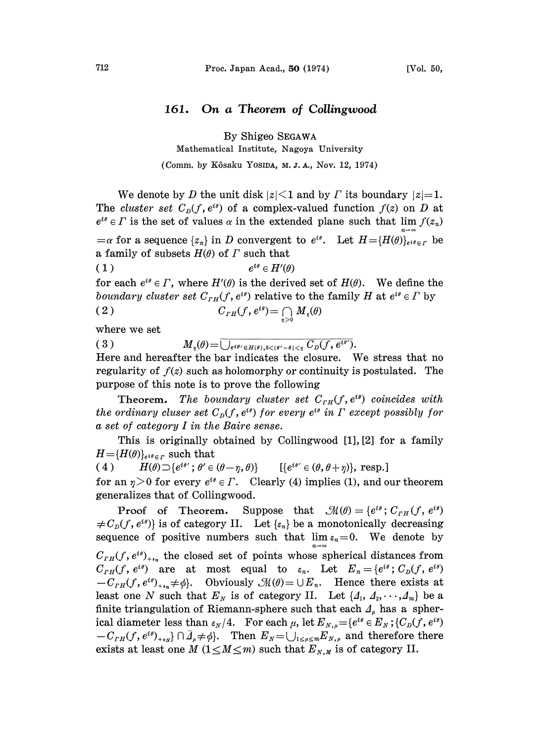## 161. On a Theorem of Collingwood

By Shigeo SEGAWA

Mathematical Institute, Nagoya University

(Comm. by Kôsaku YOSIDA, M.J.A., Nov. 12, 1974)

We denote by D the unit disk  $|z| < 1$  and by T its boundary  $|z|=1$ . The *cluster set*  $C_p(f, e^{i\theta})$  of a complex-valued function  $f(z)$  on D at  $e^{i\theta} \in \Gamma$  is the set of values  $\alpha$  in the extended plane such that  $\lim f(z_n)$  $= \alpha$  for a sequence  $\{z_n\}$  in D convergent to  $e^{i\theta}$ . Let  $H = \{H(\theta)\}_{e^{i\theta} \in \Gamma}$  be a family of subsets  $H(\theta)$  of  $\Gamma$  such that  $e^{i\theta} \in H'(\theta)$ a family of subsets  $H(\theta)$  of  $\Gamma$  such that  $e^{i\theta} \in H'(\theta)$ 

for each  $e^{i\theta} \in \Gamma$ , where  $H'(\theta)$  is the derived set of  $H(\theta)$ . We define the boundary cluster set  $C_{TH}(f, e^{i\theta})$  relative to the family H at  $e^{i\theta} \in \Gamma$  by

$$
(2) \tC_{TH}(f, e^{i\theta}) = \bigcap_{\eta>0} M_{\eta}(\theta)
$$

where we set

( 3 )  $M_{\eta}(\theta) = \overline{\bigcup_{e^{i\theta'} \in H(\theta), 0 < |\theta' - \theta| < \eta} C_D(f, e^{i\theta'})}.$ 

Here and hereafter the bar indicates the closure. We stress that no regularity of  $f(z)$  such as holomorphy or continuity is postulated. The purpose of this note is to prove the following

**Theorem.** The boundary cluster set  $C_{TH}(f, e^{i\theta})$  coincides with the ordinary cluser set  $C_p(f, e^{i\theta})$  for every  $e^{i\theta}$  in  $\Gamma$  except possibly for a set of category I in the Baire sense.

This is originally obtained by Collingwood  $[1]$ ,  $[2]$  for a family  $H = {H(\theta)}_{\text{evo}_{\text{F}}}$  such that

(4)  $H(\theta) \supseteq {e^{i\theta'}; \theta' \in (\theta-\eta, \theta)}$  [{ $e^{i\theta'} \in (\theta, \theta+\eta)$ }, resp.] for an  $\eta > 0$  for every  $e^{i\theta} \in \Gamma$ . Clearly (4) implies (1), and our theorem generalizes that of Collingwood.

**Proof** of Theorem. Suppose that  $\mathcal{M}(\theta) = \{e^{i\theta}; C_{TH}(f, e^{i\theta})\}$  $\neq C_{\text{D}}(f, e^{i\theta})$  is of category II. Let  $\{\varepsilon_n\}$  be a monotonically decreasing sequence of positive numbers such that  $\lim_{n \to \infty} \varepsilon_n = 0$ . We denote by  $C_{TH}(f, e^{i\theta})_{\alpha}$  the closed set of points whose spherical distances from  $C_{TH}(f, e^{i\theta})$  are at most equal to  $\varepsilon_n$ . Let  $E_n=[e^{i\theta};C_p(f,e^{i\theta})]$  $-C_{TH}(f,e^{i\theta})_{+_{\epsilon_n}} \neq \phi$ . Obviously  $\mathcal{M}(\theta) = \bigcup E_n$ . Hence there exists at least one N such that  $E_N$  is of category II. Let  $\{A_1, A_2, \dots, A_m\}$  be a finite triangulation of Riemann-sphere such that each  $\Lambda_{\mu}$  has a spherical diameter less than  $\varepsilon_N/4$ . For each  $\mu$ , let  $E_{N,\mu} = \{e^{i\theta} \in E_N\;;\{C_D(f,e^{i\theta})\}$  $-C_{TH}(f,e^{i\theta})_{+_{s,p}}\cap \overline{A}_{\mu}\neq \emptyset$ . Then  $E_{N}=\bigcup_{1\leq\mu\leq m}E_{N,\mu}$  and therefore there exists at least one M  $(1 \leq M \leq m)$  such that  $E_{N,M}$  is of category II.